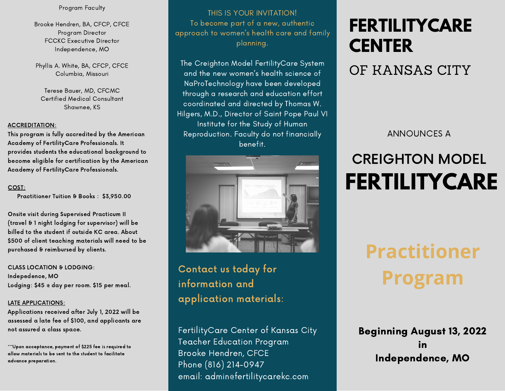#### Program Faculty

Brooke Hendren, BA, CFCP, CFCE Program Director FCCKC Executive Director Independence, MO

Phyllis A. White, BA, CFCP, CFCE Columbia, Missouri

Terese Bauer, MD, CFCMC Certified Medical Consultant Shawnee, KS

#### ACCREDITATION:

This program is fully accredited by the American Academy of FertilityCare Professionals. It provides students the educational background to become eligible for certification by the American Academy of FertilityCare Professionals.

#### COST:

Practitioner Tuition & Books : \$3,950.00

Onsite visit during Supervised Practicum II (travel & 1night lodging for supervisor) will be billed to the student if outside KC area. About \$500 of client teaching materials will need to be purchased & reimbursed by clients.

#### CLASS LOCATION & LODGING:

Indepedence, MO Lodging: \$45 @ day per room. \$15 per meal.

#### LATE APPLICATIONS:

Applications received after July 1, 2022 will be assessed a late fee of \$100, and applicants are not assured a class space.

\*\*\*Upon acceptance, payment of \$225 fee is required to allow materials to be sent to the student to facilitate advance preparation.

THIS IS YOUR INVITATION! To become part of a new, authentic approach to women's health care and family planning.

The Creighton Model FertilityCare System and the new women's health science of NaProTechnology have been developed through a research and education effort coordinated and directed by Thomas W. Hilgers, M.D., Director of Saint Pope Paul VI Institute for the Study of Human Reproduction. Faculty do not financially benefit.



Contact us today for information and application materials:

FertilityCare Center of Kansas City Teacher Education Program Brooke Hendren, CFCE Phone (816) 214-0947 email: admin@fertilitycarekc.com

### **FERTILITYCARE CENTER**

### OF KANSAS CITY

ANNOUNCES A

## CREIGHTON MODEL **FERTILITYCARE**

# **Practitioner Program**

Beginning August 13, 2022 in Independence, MO